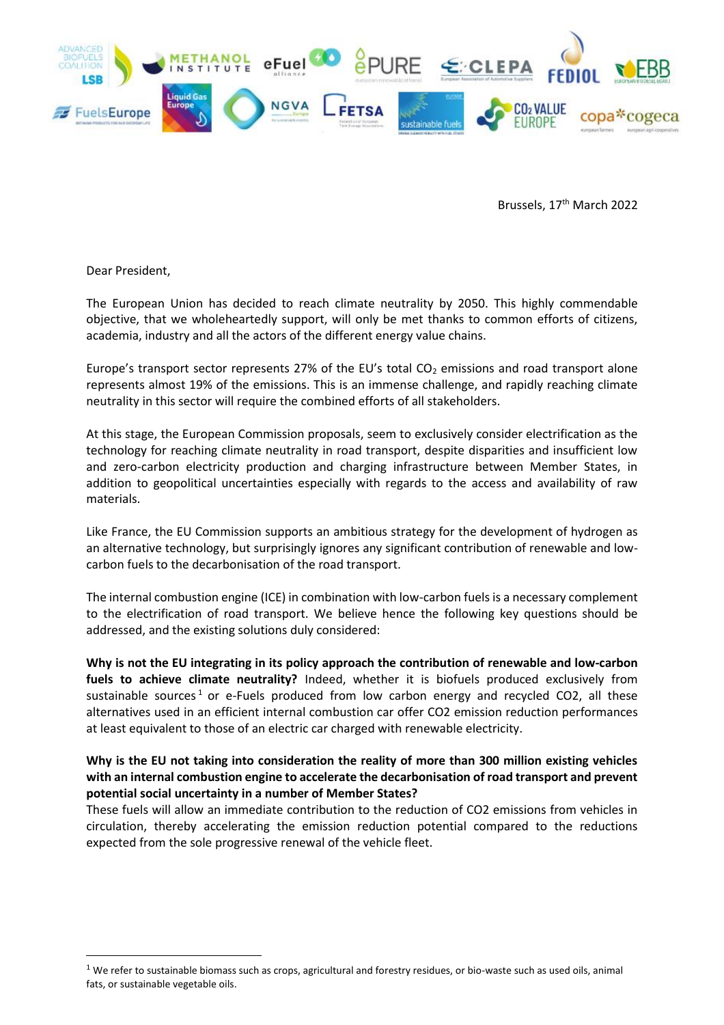

Brussels, 17<sup>th</sup> March 2022

Dear President,

 $\overline{\phantom{a}}$ 

The European Union has decided to reach climate neutrality by 2050. This highly commendable objective, that we wholeheartedly support, will only be met thanks to common efforts of citizens, academia, industry and all the actors of the different energy value chains.

Europe's transport sector represents 27% of the EU's total  $CO<sub>2</sub>$  emissions and road transport alone represents almost 19% of the emissions. This is an immense challenge, and rapidly reaching climate neutrality in this sector will require the combined efforts of all stakeholders.

At this stage, the European Commission proposals, seem to exclusively consider electrification as the technology for reaching climate neutrality in road transport, despite disparities and insufficient low and zero-carbon electricity production and charging infrastructure between Member States, in addition to geopolitical uncertainties especially with regards to the access and availability of raw materials.

Like France, the EU Commission supports an ambitious strategy for the development of hydrogen as an alternative technology, but surprisingly ignores any significant contribution of renewable and lowcarbon fuels to the decarbonisation of the road transport.

The internal combustion engine (ICE) in combination with low-carbon fuels is a necessary complement to the electrification of road transport. We believe hence the following key questions should be addressed, and the existing solutions duly considered:

**Why is not the EU integrating in its policy approach the contribution of renewable and low-carbon fuels to achieve climate neutrality?** Indeed, whether it is biofuels produced exclusively from sustainable sources<sup>1</sup> or e-Fuels produced from low carbon energy and recycled CO2, all these alternatives used in an efficient internal combustion car offer CO2 emission reduction performances at least equivalent to those of an electric car charged with renewable electricity.

## **Why is the EU not taking into consideration the reality of more than 300 million existing vehicles with an internal combustion engine to accelerate the decarbonisation of road transport and prevent potential social uncertainty in a number of Member States?**

These fuels will allow an immediate contribution to the reduction of CO2 emissions from vehicles in circulation, thereby accelerating the emission reduction potential compared to the reductions expected from the sole progressive renewal of the vehicle fleet.

 $1$  We refer to sustainable biomass such as crops, agricultural and forestry residues, or bio-waste such as used oils, animal fats, or sustainable vegetable oils.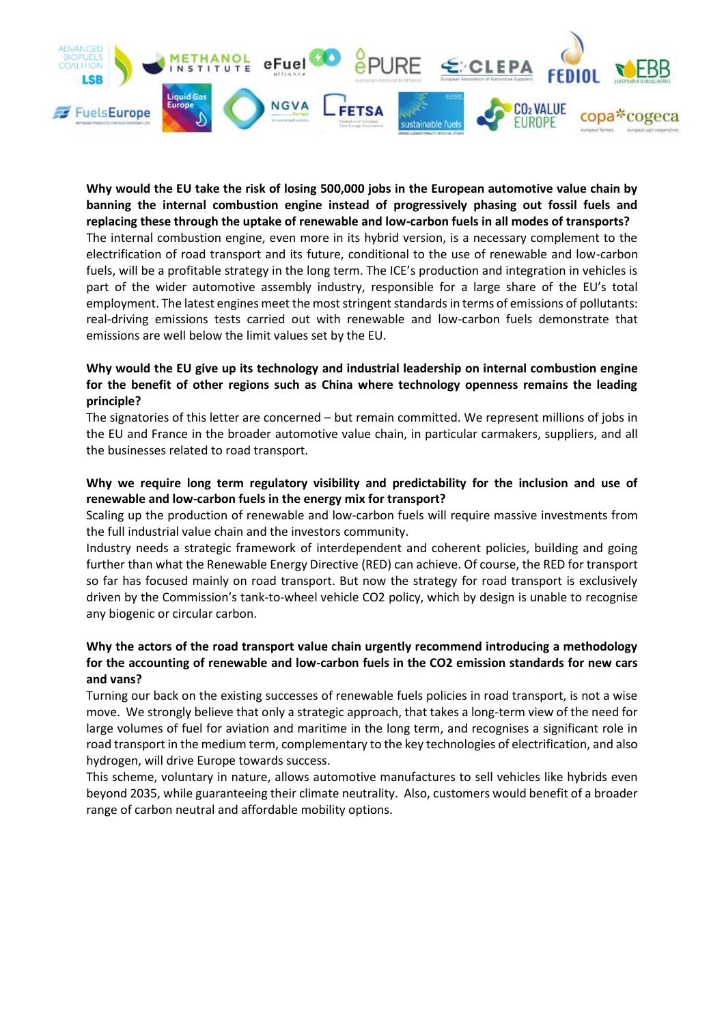

**Why would the EU take the risk of losing 500,000 jobs in the European automotive value chain by banning the internal combustion engine instead of progressively phasing out fossil fuels and replacing these through the uptake of renewable and low-carbon fuels in all modes of transports?**  The internal combustion engine, even more in its hybrid version, is a necessary complement to the electrification of road transport and its future, conditional to the use of renewable and low-carbon fuels, will be a profitable strategy in the long term. The ICE's production and integration in vehicles is part of the wider automotive assembly industry, responsible for a large share of the EU's total employment. The latest engines meet the most stringent standards in terms of emissions of pollutants: real-driving emissions tests carried out with renewable and low-carbon fuels demonstrate that emissions are well below the limit values set by the EU.

## **Why would the EU give up its technology and industrial leadership on internal combustion engine for the benefit of other regions such as China where technology openness remains the leading principle?**

The signatories of this letter are concerned – but remain committed. We represent millions of jobs in the EU and France in the broader automotive value chain, in particular carmakers, suppliers, and all the businesses related to road transport.

## **Why we require long term regulatory visibility and predictability for the inclusion and use of renewable and low-carbon fuels in the energy mix for transport?**

Scaling up the production of renewable and low-carbon fuels will require massive investments from the full industrial value chain and the investors community.

Industry needs a strategic framework of interdependent and coherent policies, building and going further than what the Renewable Energy Directive (RED) can achieve. Of course, the RED for transport so far has focused mainly on road transport. But now the strategy for road transport is exclusively driven by the Commission's tank-to-wheel vehicle CO2 policy, which by design is unable to recognise any biogenic or circular carbon.

## **Why the actors of the road transport value chain urgently recommend introducing a methodology for the accounting of renewable and low-carbon fuels in the CO2 emission standards for new cars and vans?**

Turning our back on the existing successes of renewable fuels policies in road transport, is not a wise move. We strongly believe that only a strategic approach, that takes a long-term view of the need for large volumes of fuel for aviation and maritime in the long term, and recognises a significant role in road transport in the medium term, complementary to the key technologies of electrification, and also hydrogen, will drive Europe towards success.

This scheme, voluntary in nature, allows automotive manufactures to sell vehicles like hybrids even beyond 2035, while guaranteeing their climate neutrality. Also, customers would benefit of a broader range of carbon neutral and affordable mobility options.